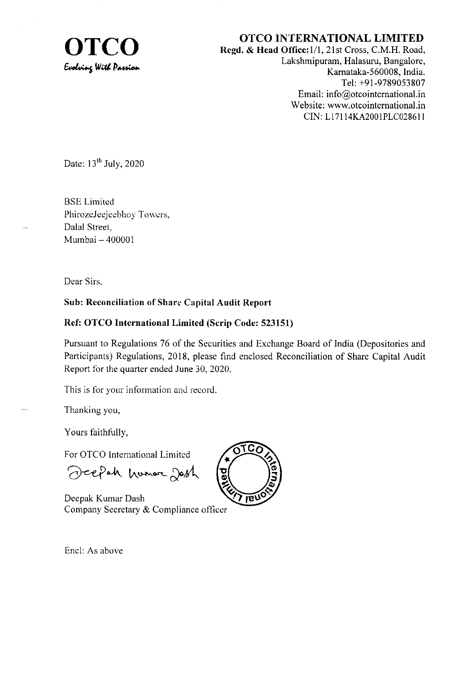

OTCO INTERNATIONAL LIMITED<br>Regd. & Head Office:1/1, 21st Cross, C.M.H. Road,<br>Lokshmington, Hologyn, Bongology Lakshmipuram, Halasuru, Bangalore, Kamataka-560008, India. Tel: +91-9789053807 Email: info@otcointernational.in Website: www.otcointernational.in CIN: Ll7 I 14KA2001PLC02861 <sup>I</sup>

Date:  $13<sup>th</sup>$  July, 2020

BSE Limited PhirozeJeejeebhoy Towers, Dalal Street, Mumbai - 400001

Dear Sirs.

### Sub: Reconciliation of Share Capital Audit Report

### Ref: OTCO International Limited (Scrip Code: 523151)

Pursuant to Regulations 76 of the Securities and Exchange Board of India (Depositories and Participants) Regulations, 2018, please find enclosed Reconciliation of Share Capital Audit Report for the quarter ended June 30, 2020.

This is for your information and record.

Thanking you,

Yours faithfully,

For OTCO International Limited

Deepah humor Jash

Deepak Kumar Dash Company Secretary & Compliance officer



Encl: As above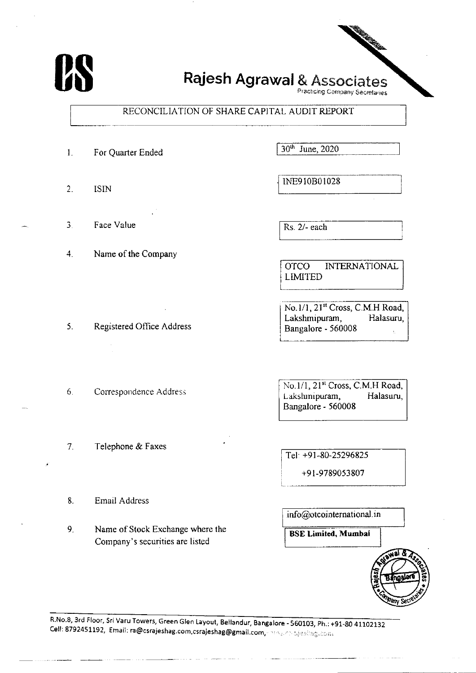

# Rajesh Agrawal & Associates

Practicing Company Secretaries

## RECONCILIATION OF SHARE CAPITAL AUDIT REPORT

- $\mathbf{1}$ . For Quarter Ended
- $2<sub>1</sub>$ **ISIN**
- Face Value  $\overline{3}$
- $4<sub>1</sub>$ Name of the Company

30th June, 2020

INE910B01028

Rs. 2/- each

**OTCO INTERNATIONAL LIMITED** 

No.1/1, 21st Cross, C.M.H Road, Lakshmipuram, Halasuru, Bangalore - 560008

No.1/1, 21<sup>st</sup> Cross, C.M.H Road, Lakshmipuram, Halasuru, Bangalore - 560008

Tel: +91-80-25296825

+91-9789053807

info@otcointernational.in

**BSE Limited, Mumbai** 



R.No.8, 3rd Floor, Sri Varu Towers, Green Glen Layout, Bellandur, Bangalore - 560103, Ph.: +91-80 41102132 Cell: 8792451192, Email: ra@csrajeshag.com,csrajeshag@gmail.com, and substanting.com

- 5. Registered Office Address
- $6.$ Correspondence Address
- $7<sub>1</sub>$ Telephone & Faxes
- 8. **Email Address**
- 9. Name of Stock Exchange where the Company's securities are listed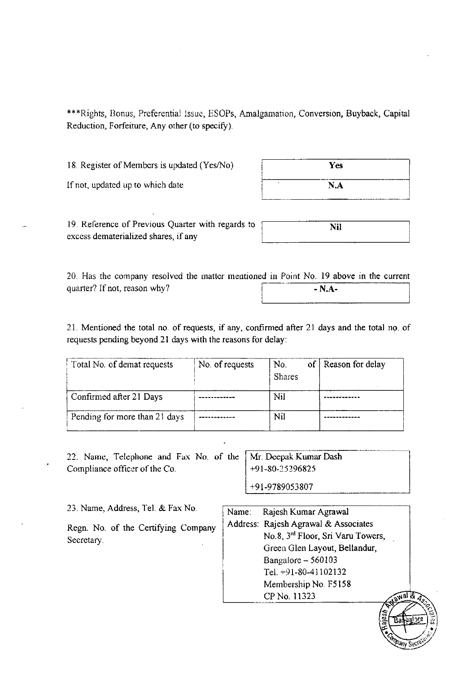\*\*\*Rights, Bonus, Preferential Issue, ESOPs, Amalgamation, Conversion, Buyback, Capital Reduction, Forfeiture, Any other (to specify).

18. Register of Members is updated (Yes/No)

| Yes |  |  |  |
|-----|--|--|--|
| N.A |  |  |  |

If not, updated up to which date

19. Reference of Previous Quarter with regards to excess dematerialized shares, if any

| <b>Nil</b> |  |
|------------|--|
|            |  |
|            |  |

20 Has the company resolved the matler rnentioned in Point No. 19 above in the current quarter? If not, reason why?  $-N.A-$ 

21. Mentioned the total no. of requests, if any, confirmed after 21 days and the total no. of requests pending beyond 21 days with the reasons for delay:

| Total No. of demat requests   | No. of requests | No.<br><b>Shares</b> | of   Reason for delay |
|-------------------------------|-----------------|----------------------|-----------------------|
| Confirmed after 21 Days       |                 | Nil                  |                       |
| Pending for more than 21 days |                 | Nil                  |                       |

22. Name, Telephone and Fax No. of the Compliance officer of the Co.

Mr. Deepak Kumar Dash r-91-80-15 296825 +91-978905380?

23. Name, Address, Tel. & Fax No.

Regn. No. of the Certifying Company Secretary.

| Name: | Rajesh Kumar Agrawal                 |
|-------|--------------------------------------|
|       | Address: Rajesh Agrawal & Associates |
|       | No.8, 3rd Floor, Sri Varu Towers,    |
|       | Green Glen Layout, Bellandur,        |
|       | Bangalore - 560103                   |
|       | Tel. $+91-80-41102132$               |
|       | Membership No. F5158                 |
|       | CP No. 11323<br><b>Tawa</b>          |
|       |                                      |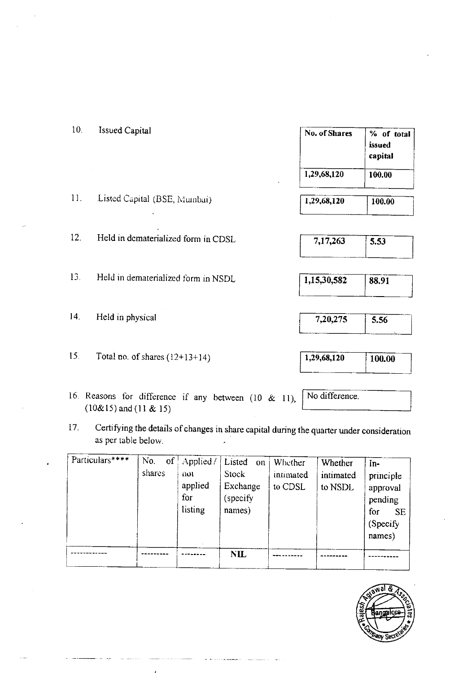| 10.             | <b>Issued Capital</b>               | No. of Shares               | % of total<br>issued<br>capital |
|-----------------|-------------------------------------|-----------------------------|---------------------------------|
|                 |                                     | 1,29,68,120<br>$\mathbf{r}$ | 100.00                          |
| 11.             | Listed Capital (BSE, Mumbai)        | 1,29,68,120                 | 100.00                          |
| 12.             | Held in dematerialized form in CDSL | 7,17,263                    | 5.53                            |
| 13.             | Held in dematerialized form in NSDL | 1,15,30,582                 | 88.91                           |
| 14 <sup>1</sup> | Held in physical                    | 7,20,275                    | 5.56                            |

- 16. Reasons for difference if any between  $(10 \& 11)$ ,  $(10\&15)$  and  $(11 & 15)$
- Certifying the details of changes in share capital during the quarter under consideration 17. as per table below.  $\ddot{\phantom{a}}$

|                 |                     |                                              | <b>NIL</b>                                               |                                 |                                 |                                                                                    |
|-----------------|---------------------|----------------------------------------------|----------------------------------------------------------|---------------------------------|---------------------------------|------------------------------------------------------------------------------------|
| Particulars**** | No.<br>of<br>shares | Applied/<br>not<br>applied<br>for<br>listing | Listed<br>on<br>Stock<br>Exchange<br>(specify)<br>names) | Whether<br>intimated<br>to CDSL | Whether<br>intimated<br>to NSDL | In-<br>principle<br>approval<br>pending<br>for<br><b>SE</b><br>(Specify)<br>names) |



Total no. of shares  $(12+13+14)$  $15<sub>1</sub>$ 

 $1,29,68,120$ 

No difference.

- 
- $100.00$